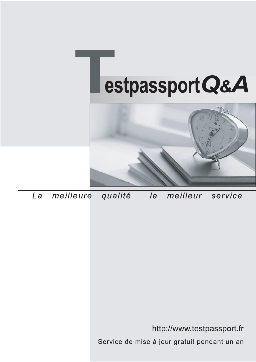



meilleure La qualité  $\overline{e}$ meilleur service

http://www.testpassport.fr

Service de mise à jour gratuit pendant un an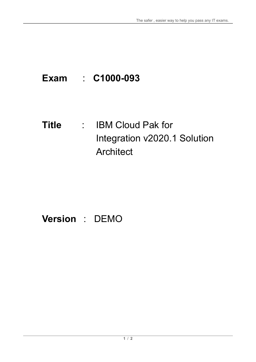# **Exam** : **C1000-093**

### **Title** : IBM Cloud Pak for Integration v2020.1 Solution **Architect**

## **Version** : DEMO